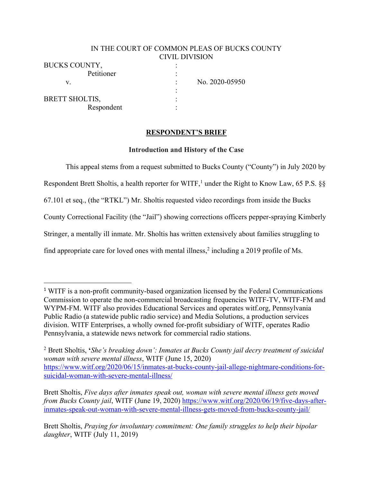## IN THE COURT OF COMMON PLEAS OF BUCKS COUNTY CIVIL DIVISION

:

Respondent :

BUCKS COUNTY. Petitioner : v. No. 2020-05950

BRETT SHOLTIS.

## **RESPONDENT'S BRIEF**

### **Introduction and History of the Case**

This appeal stems from a request submitted to Bucks County ("County") in July 2020 by Respondent Brett Sholtis, a health reporter for WITF,<sup>1</sup> under the Right to Know Law, 65 P.S. §§ 67.101 et seq., (the "RTKL") Mr. Sholtis requested video recordings from inside the Bucks County Correctional Facility (the "Jail") showing corrections officers pepper-spraying Kimberly Stringer, a mentally ill inmate. Mr. Sholtis has written extensively about families struggling to find appropriate care for loved ones with mental illness, <sup>2</sup> including a 2019 profile of Ms.

<sup>1</sup> WITF is a non-profit community-based organization licensed by the Federal Communications Commission to operate the non-commercial broadcasting frequencies WITF-TV, WITF-FM and WYPM-FM. WITF also provides Educational Services and operates witf.org, Pennsylvania Public Radio (a statewide public radio service) and Media Solutions, a production services division. WITF Enterprises, a wholly owned for-profit subsidiary of WITF, operates Radio Pennsylvania, a statewide news network for commercial radio stations.

<sup>2</sup> Brett Sholtis, **'***She's breaking down': Inmates at Bucks County jail decry treatment of suicidal woman with severe mental illness*, WITF (June 15, 2020) https://www.witf.org/2020/06/15/inmates-at-bucks-county-jail-allege-nightmare-conditions-forsuicidal-woman-with-severe-mental-illness/

Brett Sholtis, *Five days after inmates speak out, woman with severe mental illness gets moved from Bucks County jail*, WITF (June 19, 2020) https://www.witf.org/2020/06/19/five-days-afterinmates-speak-out-woman-with-severe-mental-illness-gets-moved-from-bucks-county-jail/

Brett Sholtis, *Praying for involuntary commitment: One family struggles to help their bipolar daughter*, WITF (July 11, 2019)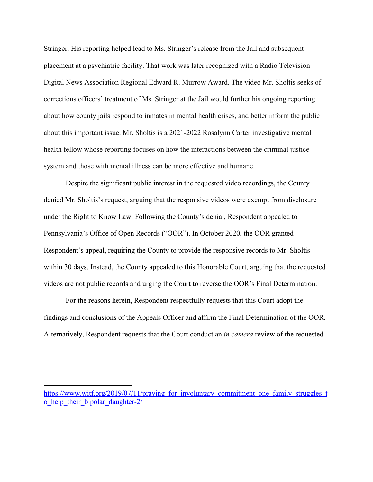Stringer. His reporting helped lead to Ms. Stringer's release from the Jail and subsequent placement at a psychiatric facility. That work was later recognized with a Radio Television Digital News Association Regional Edward R. Murrow Award. The video Mr. Sholtis seeks of corrections officers' treatment of Ms. Stringer at the Jail would further his ongoing reporting about how county jails respond to inmates in mental health crises, and better inform the public about this important issue. Mr. Sholtis is a 2021-2022 Rosalynn Carter investigative mental health fellow whose reporting focuses on how the interactions between the criminal justice system and those with mental illness can be more effective and humane.

Despite the significant public interest in the requested video recordings, the County denied Mr. Sholtis's request, arguing that the responsive videos were exempt from disclosure under the Right to Know Law. Following the County's denial, Respondent appealed to Pennsylvania's Office of Open Records ("OOR"). In October 2020, the OOR granted Respondent's appeal, requiring the County to provide the responsive records to Mr. Sholtis within 30 days. Instead, the County appealed to this Honorable Court, arguing that the requested videos are not public records and urging the Court to reverse the OOR's Final Determination.

For the reasons herein, Respondent respectfully requests that this Court adopt the findings and conclusions of the Appeals Officer and affirm the Final Determination of the OOR. Alternatively, Respondent requests that the Court conduct an *in camera* review of the requested

https://www.witf.org/2019/07/11/praying\_for\_involuntary\_commitment\_one\_family\_struggles\_t o\_help\_their\_bipolar\_daughter-2/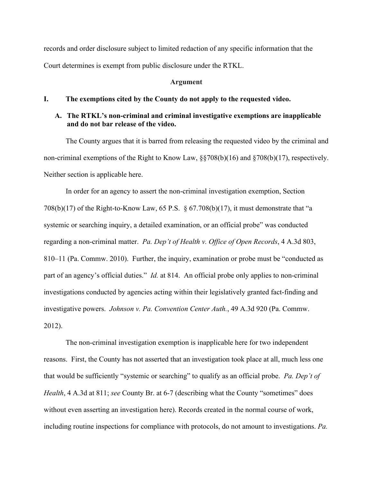records and order disclosure subject to limited redaction of any specific information that the Court determines is exempt from public disclosure under the RTKL.

#### **Argument**

#### **I. The exemptions cited by the County do not apply to the requested video.**

## **A. The RTKL's non-criminal and criminal investigative exemptions are inapplicable and do not bar release of the video.**

The County argues that it is barred from releasing the requested video by the criminal and non-criminal exemptions of the Right to Know Law, §§708(b)(16) and §708(b)(17), respectively. Neither section is applicable here.

In order for an agency to assert the non-criminal investigation exemption, Section 708(b)(17) of the Right-to-Know Law, 65 P.S. § 67.708(b)(17), it must demonstrate that "a systemic or searching inquiry, a detailed examination, or an official probe" was conducted regarding a non-criminal matter. *Pa. Dep't of Health v. Office of Open Records*, 4 A.3d 803, 810–11 (Pa. Commw. 2010). Further, the inquiry, examination or probe must be "conducted as part of an agency's official duties." *Id.* at 814. An official probe only applies to non-criminal investigations conducted by agencies acting within their legislatively granted fact-finding and investigative powers. *Johnson v. Pa. Convention Center Auth.*, 49 A.3d 920 (Pa. Commw. 2012).

The non-criminal investigation exemption is inapplicable here for two independent reasons. First, the County has not asserted that an investigation took place at all, much less one that would be sufficiently "systemic or searching" to qualify as an official probe. *Pa. Dep't of Health*, 4 A.3d at 811; *see* County Br. at 6-7 (describing what the County "sometimes" does without even asserting an investigation here). Records created in the normal course of work, including routine inspections for compliance with protocols, do not amount to investigations. *Pa.*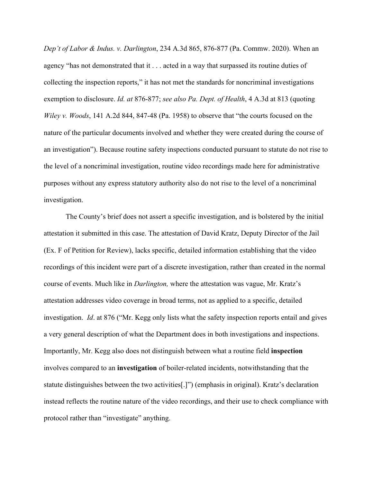*Dep't of Labor & Indus. v. Darlington*, 234 A.3d 865, 876-877 (Pa. Commw. 2020). When an agency "has not demonstrated that it . . . acted in a way that surpassed its routine duties of collecting the inspection reports," it has not met the standards for noncriminal investigations exemption to disclosure. *Id. at* 876-877; *see also Pa. Dept. of Health*, 4 A.3d at 813 (quoting *Wiley v. Woods*, 141 A.2d 844, 847-48 (Pa. 1958) to observe that "the courts focused on the nature of the particular documents involved and whether they were created during the course of an investigation"). Because routine safety inspections conducted pursuant to statute do not rise to the level of a noncriminal investigation, routine video recordings made here for administrative purposes without any express statutory authority also do not rise to the level of a noncriminal investigation.

The County's brief does not assert a specific investigation, and is bolstered by the initial attestation it submitted in this case. The attestation of David Kratz, Deputy Director of the Jail (Ex. F of Petition for Review), lacks specific, detailed information establishing that the video recordings of this incident were part of a discrete investigation, rather than created in the normal course of events. Much like in *Darlington,* where the attestation was vague, Mr. Kratz's attestation addresses video coverage in broad terms, not as applied to a specific, detailed investigation. *Id*. at 876 ("Mr. Kegg only lists what the safety inspection reports entail and gives a very general description of what the Department does in both investigations and inspections. Importantly, Mr. Kegg also does not distinguish between what a routine field **inspection** involves compared to an **investigation** of boiler-related incidents, notwithstanding that the statute distinguishes between the two activities[.]") (emphasis in original). Kratz's declaration instead reflects the routine nature of the video recordings, and their use to check compliance with protocol rather than "investigate" anything.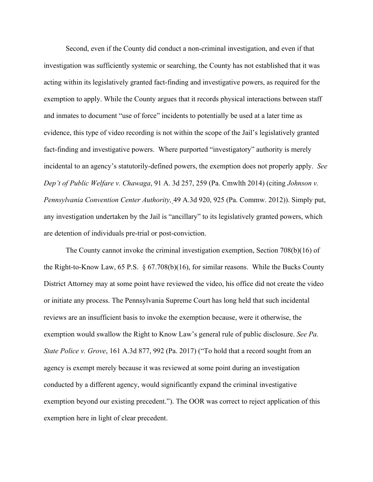Second, even if the County did conduct a non-criminal investigation, and even if that investigation was sufficiently systemic or searching, the County has not established that it was acting within its legislatively granted fact-finding and investigative powers, as required for the exemption to apply. While the County argues that it records physical interactions between staff and inmates to document "use of force" incidents to potentially be used at a later time as evidence, this type of video recording is not within the scope of the Jail's legislatively granted fact-finding and investigative powers. Where purported "investigatory" authority is merely incidental to an agency's statutorily-defined powers, the exemption does not properly apply. *See Dep't of Public Welfare v. Chawaga*, 91 A. 3d 257, 259 (Pa. Cmwlth 2014) (citing *Johnson v. Pennsylvania Convention Center Authority,* 49 A.3d 920, 925 (Pa. Commw. 2012)). Simply put, any investigation undertaken by the Jail is "ancillary" to its legislatively granted powers, which are detention of individuals pre-trial or post-conviction.

The County cannot invoke the criminal investigation exemption, Section 708(b)(16) of the Right-to-Know Law, 65 P.S. § 67.708(b)(16), for similar reasons. While the Bucks County District Attorney may at some point have reviewed the video, his office did not create the video or initiate any process. The Pennsylvania Supreme Court has long held that such incidental reviews are an insufficient basis to invoke the exemption because, were it otherwise, the exemption would swallow the Right to Know Law's general rule of public disclosure. *See Pa. State Police v. Grove*, 161 A.3d 877, 992 (Pa. 2017) ("To hold that a record sought from an agency is exempt merely because it was reviewed at some point during an investigation conducted by a different agency, would significantly expand the criminal investigative exemption beyond our existing precedent."). The OOR was correct to reject application of this exemption here in light of clear precedent.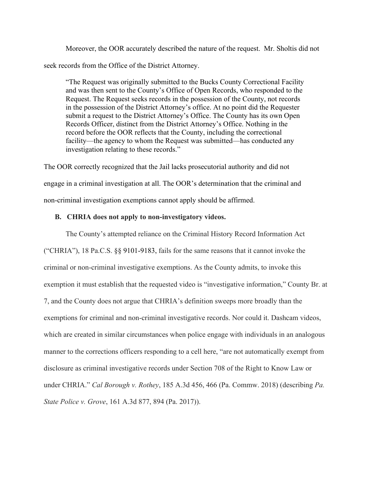Moreover, the OOR accurately described the nature of the request. Mr. Sholtis did not seek records from the Office of the District Attorney.

"The Request was originally submitted to the Bucks County Correctional Facility and was then sent to the County's Office of Open Records, who responded to the Request. The Request seeks records in the possession of the County, not records in the possession of the District Attorney's office. At no point did the Requester submit a request to the District Attorney's Office. The County has its own Open Records Officer, distinct from the District Attorney's Office. Nothing in the record before the OOR reflects that the County, including the correctional facility—the agency to whom the Request was submitted—has conducted any investigation relating to these records."

The OOR correctly recognized that the Jail lacks prosecutorial authority and did not engage in a criminal investigation at all. The OOR's determination that the criminal and non-criminal investigation exemptions cannot apply should be affirmed.

### **B. CHRIA does not apply to non-investigatory videos.**

The County's attempted reliance on the Criminal History Record Information Act ("CHRIA"), 18 Pa.C.S. §§ 9101-9183, fails for the same reasons that it cannot invoke the criminal or non-criminal investigative exemptions. As the County admits, to invoke this exemption it must establish that the requested video is "investigative information," County Br. at 7, and the County does not argue that CHRIA's definition sweeps more broadly than the exemptions for criminal and non-criminal investigative records. Nor could it. Dashcam videos, which are created in similar circumstances when police engage with individuals in an analogous manner to the corrections officers responding to a cell here, "are not automatically exempt from disclosure as criminal investigative records under Section 708 of the Right to Know Law or under CHRIA." *Cal Borough v. Rothey*, 185 A.3d 456, 466 (Pa. Commw. 2018) (describing *Pa. State Police v. Grove*, 161 A.3d 877, 894 (Pa. 2017)).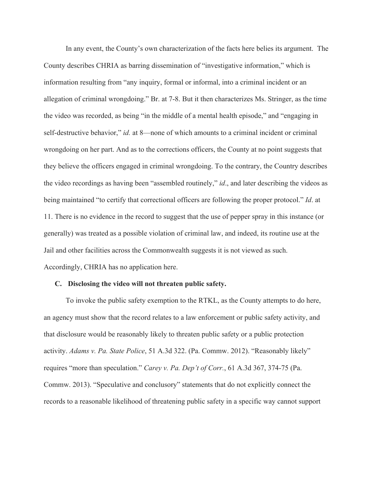In any event, the County's own characterization of the facts here belies its argument. The County describes CHRIA as barring dissemination of "investigative information," which is information resulting from "any inquiry, formal or informal, into a criminal incident or an allegation of criminal wrongdoing." Br. at 7-8. But it then characterizes Ms. Stringer, as the time the video was recorded, as being "in the middle of a mental health episode," and "engaging in self-destructive behavior," *id.* at 8—none of which amounts to a criminal incident or criminal wrongdoing on her part. And as to the corrections officers, the County at no point suggests that they believe the officers engaged in criminal wrongdoing. To the contrary, the Country describes the video recordings as having been "assembled routinely," *id*., and later describing the videos as being maintained "to certify that correctional officers are following the proper protocol." *Id*. at 11. There is no evidence in the record to suggest that the use of pepper spray in this instance (or generally) was treated as a possible violation of criminal law, and indeed, its routine use at the Jail and other facilities across the Commonwealth suggests it is not viewed as such. Accordingly, CHRIA has no application here.

### **C. Disclosing the video will not threaten public safety.**

To invoke the public safety exemption to the RTKL, as the County attempts to do here, an agency must show that the record relates to a law enforcement or public safety activity, and that disclosure would be reasonably likely to threaten public safety or a public protection activity. *Adams v. Pa. State Police*, 51 A.3d 322. (Pa. Commw. 2012). "Reasonably likely" requires "more than speculation." *Carey v. Pa. Dep't of Corr.*, 61 A.3d 367, 374-75 (Pa. Commw. 2013). "Speculative and conclusory" statements that do not explicitly connect the records to a reasonable likelihood of threatening public safety in a specific way cannot support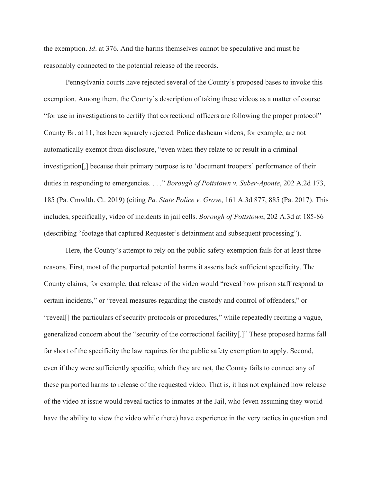the exemption. *Id*. at 376. And the harms themselves cannot be speculative and must be reasonably connected to the potential release of the records.

Pennsylvania courts have rejected several of the County's proposed bases to invoke this exemption. Among them, the County's description of taking these videos as a matter of course "for use in investigations to certify that correctional officers are following the proper protocol" County Br. at 11, has been squarely rejected. Police dashcam videos, for example, are not automatically exempt from disclosure, "even when they relate to or result in a criminal investigation[,] because their primary purpose is to 'document troopers' performance of their duties in responding to emergencies. . . ." *Borough of Pottstown v. Suber-Aponte*, 202 A.2d 173, 185 (Pa. Cmwlth. Ct. 2019) (citing *Pa. State Police v. Grove*, 161 A.3d 877, 885 (Pa. 2017). This includes, specifically, video of incidents in jail cells. *Borough of Pottstown*, 202 A.3d at 185-86 (describing "footage that captured Requester's detainment and subsequent processing").

Here, the County's attempt to rely on the public safety exemption fails for at least three reasons. First, most of the purported potential harms it asserts lack sufficient specificity. The County claims, for example, that release of the video would "reveal how prison staff respond to certain incidents," or "reveal measures regarding the custody and control of offenders," or "reveal[] the particulars of security protocols or procedures," while repeatedly reciting a vague, generalized concern about the "security of the correctional facility[.]" These proposed harms fall far short of the specificity the law requires for the public safety exemption to apply. Second, even if they were sufficiently specific, which they are not, the County fails to connect any of these purported harms to release of the requested video. That is, it has not explained how release of the video at issue would reveal tactics to inmates at the Jail, who (even assuming they would have the ability to view the video while there) have experience in the very tactics in question and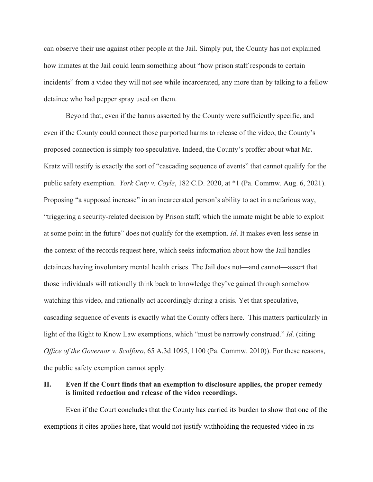can observe their use against other people at the Jail. Simply put, the County has not explained how inmates at the Jail could learn something about "how prison staff responds to certain incidents" from a video they will not see while incarcerated, any more than by talking to a fellow detainee who had pepper spray used on them.

Beyond that, even if the harms asserted by the County were sufficiently specific, and even if the County could connect those purported harms to release of the video, the County's proposed connection is simply too speculative. Indeed, the County's proffer about what Mr. Kratz will testify is exactly the sort of "cascading sequence of events" that cannot qualify for the public safety exemption. *York Cnty v. Coyle*, 182 C.D. 2020, at \*1 (Pa. Commw. Aug. 6, 2021). Proposing "a supposed increase" in an incarcerated person's ability to act in a nefarious way, "triggering a security-related decision by Prison staff, which the inmate might be able to exploit at some point in the future" does not qualify for the exemption. *Id*. It makes even less sense in the context of the records request here, which seeks information about how the Jail handles detainees having involuntary mental health crises. The Jail does not—and cannot—assert that those individuals will rationally think back to knowledge they've gained through somehow watching this video, and rationally act accordingly during a crisis. Yet that speculative, cascading sequence of events is exactly what the County offers here. This matters particularly in light of the Right to Know Law exemptions, which "must be narrowly construed." *Id*. (citing *Office of the Governor v. Scolforo*, 65 A.3d 1095, 1100 (Pa. Commw. 2010)). For these reasons, the public safety exemption cannot apply.

### **II. Even if the Court finds that an exemption to disclosure applies, the proper remedy is limited redaction and release of the video recordings.**

Even if the Court concludes that the County has carried its burden to show that one of the exemptions it cites applies here, that would not justify withholding the requested video in its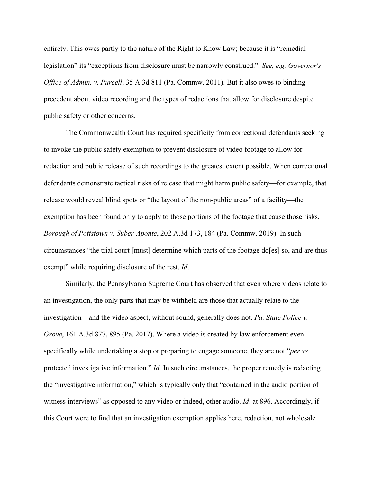entirety. This owes partly to the nature of the Right to Know Law; because it is "remedial legislation" its "exceptions from disclosure must be narrowly construed." *See, e.g. Governor's Office of Admin. v. Purcell*, 35 A.3d 811 (Pa. Commw. 2011). But it also owes to binding precedent about video recording and the types of redactions that allow for disclosure despite public safety or other concerns.

The Commonwealth Court has required specificity from correctional defendants seeking to invoke the public safety exemption to prevent disclosure of video footage to allow for redaction and public release of such recordings to the greatest extent possible. When correctional defendants demonstrate tactical risks of release that might harm public safety—for example, that release would reveal blind spots or "the layout of the non-public areas" of a facility—the exemption has been found only to apply to those portions of the footage that cause those risks. *Borough of Pottstown v. Suber-Aponte*, 202 A.3d 173, 184 (Pa. Commw. 2019). In such circumstances "the trial court [must] determine which parts of the footage do[es] so, and are thus exempt" while requiring disclosure of the rest. *Id*.

Similarly, the Pennsylvania Supreme Court has observed that even where videos relate to an investigation, the only parts that may be withheld are those that actually relate to the investigation—and the video aspect, without sound, generally does not. *Pa. State Police v. Grove*, 161 A.3d 877, 895 (Pa. 2017). Where a video is created by law enforcement even specifically while undertaking a stop or preparing to engage someone, they are not "*per se*  protected investigative information." *Id*. In such circumstances, the proper remedy is redacting the "investigative information," which is typically only that "contained in the audio portion of witness interviews" as opposed to any video or indeed, other audio. *Id*. at 896. Accordingly, if this Court were to find that an investigation exemption applies here, redaction, not wholesale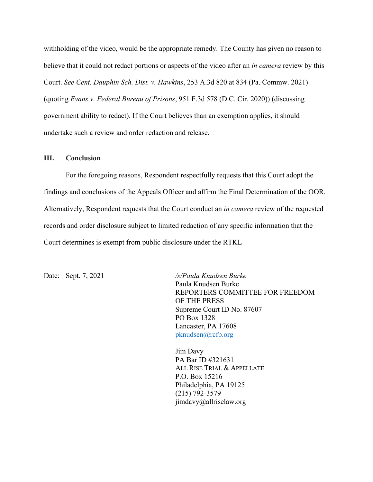withholding of the video, would be the appropriate remedy. The County has given no reason to believe that it could not redact portions or aspects of the video after an *in camera* review by this Court. *See Cent. Dauphin Sch. Dist. v. Hawkins*, 253 A.3d 820 at 834 (Pa. Commw. 2021) (quoting *Evans v. Federal Bureau of Prisons*, 951 F.3d 578 (D.C. Cir. 2020)) (discussing government ability to redact). If the Court believes than an exemption applies, it should undertake such a review and order redaction and release.

### **III. Conclusion**

For the foregoing reasons, Respondent respectfully requests that this Court adopt the findings and conclusions of the Appeals Officer and affirm the Final Determination of the OOR. Alternatively, Respondent requests that the Court conduct an *in camera* review of the requested records and order disclosure subject to limited redaction of any specific information that the Court determines is exempt from public disclosure under the RTKL

Date: Sept. 7, 2021 */s/Paula Knudsen Burke* Paula Knudsen Burke REPORTERS COMMITTEE FOR FREEDOM OF THE PRESS Supreme Court ID No. 87607 PO Box 1328 Lancaster, PA 17608 pknudsen@rcfp.org

> Jim Davy PA Bar ID #321631 ALL RISE TRIAL & APPELLATE P.O. Box 15216 Philadelphia, PA 19125 (215) 792-3579 jimdavy@allriselaw.org